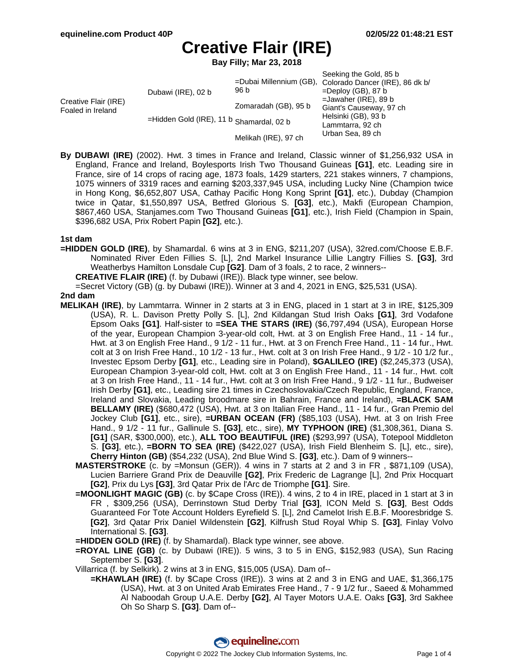**Bay Filly; Mar 23, 2018**

|                                           |                                                                |                      | Seeking the Gold, 85 b                                  |
|-------------------------------------------|----------------------------------------------------------------|----------------------|---------------------------------------------------------|
| Creative Flair (IRE)<br>Foaled in Ireland | Dubawi (IRE), 02 b<br>=Hidden Gold (IRE), 11 b Shamardal, 02 b | 96 b                 | =Dubai Millennium (GB), Colorado Dancer (IRE), 86 dk b/ |
|                                           |                                                                |                      | $=$ Deploy (GB), 87 b                                   |
|                                           |                                                                |                      | $=$ Jawaher (IRE), 89 b                                 |
|                                           |                                                                | Zomaradah (GB), 95 b | Giant's Causeway, 97 ch                                 |
|                                           |                                                                |                      | Helsinki (GB), 93 b                                     |
|                                           |                                                                |                      | Lammtarra, 92 ch                                        |
|                                           |                                                                | Melikah (IRE), 97 ch | Urban Sea, 89 ch                                        |

**By DUBAWI (IRE)** (2002). Hwt. 3 times in France and Ireland, Classic winner of \$1,256,932 USA in England, France and Ireland, Boylesports Irish Two Thousand Guineas **[G1]**, etc. Leading sire in France, sire of 14 crops of racing age, 1873 foals, 1429 starters, 221 stakes winners, 7 champions, 1075 winners of 3319 races and earning \$203,337,945 USA, including Lucky Nine (Champion twice in Hong Kong, \$6,652,807 USA, Cathay Pacific Hong Kong Sprint **[G1]**, etc.), Dubday (Champion twice in Qatar, \$1,550,897 USA, Betfred Glorious S. **[G3]**, etc.), Makfi (European Champion, \$867,460 USA, Stanjames.com Two Thousand Guineas **[G1]**, etc.), Irish Field (Champion in Spain, \$396,682 USA, Prix Robert Papin **[G2]**, etc.).

#### **1st dam**

**=HIDDEN GOLD (IRE)**, by Shamardal. 6 wins at 3 in ENG, \$211,207 (USA), 32red.com/Choose E.B.F. Nominated River Eden Fillies S. [L], 2nd Markel Insurance Lillie Langtry Fillies S. **[G3]**, 3rd Weatherbys Hamilton Lonsdale Cup **[G2]**. Dam of 3 foals, 2 to race, 2 winners--

**CREATIVE FLAIR (IRE)** (f. by Dubawi (IRE)). Black type winner, see below.

=Secret Victory (GB) (g. by Dubawi (IRE)). Winner at 3 and 4, 2021 in ENG, \$25,531 (USA).

#### **2nd dam**

- **MELIKAH (IRE)**, by Lammtarra. Winner in 2 starts at 3 in ENG, placed in 1 start at 3 in IRE, \$125,309 (USA), R. L. Davison Pretty Polly S. [L], 2nd Kildangan Stud Irish Oaks **[G1]**, 3rd Vodafone Epsom Oaks **[G1]**. Half-sister to **=SEA THE STARS (IRE)** (\$6,797,494 (USA), European Horse of the year, European Champion 3-year-old colt, Hwt. at 3 on English Free Hand., 11 - 14 fur., Hwt. at 3 on English Free Hand., 9 1/2 - 11 fur., Hwt. at 3 on French Free Hand., 11 - 14 fur., Hwt. colt at 3 on Irish Free Hand., 10 1/2 - 13 fur., Hwt. colt at 3 on Irish Free Hand., 9 1/2 - 10 1/2 fur., Investec Epsom Derby **[G1]**, etc., Leading sire in Poland), **\$GALILEO (IRE)** (\$2,245,373 (USA), European Champion 3-year-old colt, Hwt. colt at 3 on English Free Hand., 11 - 14 fur., Hwt. colt at 3 on Irish Free Hand., 11 - 14 fur., Hwt. colt at 3 on Irish Free Hand., 9 1/2 - 11 fur., Budweiser Irish Derby **[G1]**, etc., Leading sire 21 times in Czechoslovakia/Czech Republic, England, France, Ireland and Slovakia, Leading broodmare sire in Bahrain, France and Ireland), **=BLACK SAM BELLAMY (IRE)** (\$680,472 (USA), Hwt. at 3 on Italian Free Hand., 11 - 14 fur., Gran Premio del Jockey Club **[G1]**, etc., sire), **=URBAN OCEAN (FR)** (\$85,103 (USA), Hwt. at 3 on Irish Free Hand., 9 1/2 - 11 fur., Gallinule S. **[G3]**, etc., sire), **MY TYPHOON (IRE)** (\$1,308,361, Diana S. **[G1]** (SAR, \$300,000), etc.), **ALL TOO BEAUTIFUL (IRE)** (\$293,997 (USA), Totepool Middleton S. **[G3]**, etc.), **=BORN TO SEA (IRE)** (\$422,027 (USA), Irish Field Blenheim S. [L], etc., sire), **Cherry Hinton (GB)** (\$54,232 (USA), 2nd Blue Wind S. **[G3]**, etc.). Dam of 9 winners--
	- **MASTERSTROKE** (c. by =Monsun (GER)). 4 wins in 7 starts at 2 and 3 in FR, \$871,109 (USA), Lucien Barriere Grand Prix de Deauville **[G2]**, Prix Frederic de Lagrange [L], 2nd Prix Hocquart **[G2]**, Prix du Lys **[G3]**, 3rd Qatar Prix de l'Arc de Triomphe **[G1]**. Sire.
	- **=MOONLIGHT MAGIC (GB)** (c. by \$Cape Cross (IRE)). 4 wins, 2 to 4 in IRE, placed in 1 start at 3 in FR , \$309,256 (USA), Derrinstown Stud Derby Trial **[G3]**, ICON Meld S. **[G3]**, Best Odds Guaranteed For Tote Account Holders Eyrefield S. [L], 2nd Camelot Irish E.B.F. Mooresbridge S. **[G2]**, 3rd Qatar Prix Daniel Wildenstein **[G2]**, Kilfrush Stud Royal Whip S. **[G3]**, Finlay Volvo International S. **[G3]**.

**=HIDDEN GOLD (IRE)** (f. by Shamardal). Black type winner, see above.

**=ROYAL LINE (GB)** (c. by Dubawi (IRE)). 5 wins, 3 to 5 in ENG, \$152,983 (USA), Sun Racing September S. **[G3]**.

Villarrica (f. by Selkirk). 2 wins at 3 in ENG, \$15,005 (USA). Dam of--

**=KHAWLAH (IRE)** (f. by \$Cape Cross (IRE)). 3 wins at 2 and 3 in ENG and UAE, \$1,366,175 (USA), Hwt. at 3 on United Arab Emirates Free Hand., 7 - 9 1/2 fur., Saeed & Mohammed Al Naboodah Group U.A.E. Derby **[G2]**, Al Tayer Motors U.A.E. Oaks **[G3]**, 3rd Sakhee Oh So Sharp S. **[G3]**. Dam of--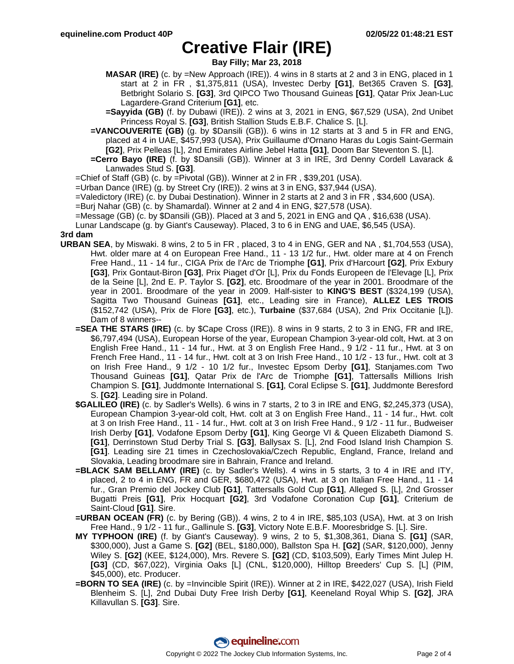**Bay Filly; Mar 23, 2018**

- **MASAR (IRE)** (c. by =New Approach (IRE)). 4 wins in 8 starts at 2 and 3 in ENG, placed in 1 start at 2 in FR , \$1,375,811 (USA), Investec Derby **[G1]**, Bet365 Craven S. **[G3]**, Betbright Solario S. **[G3]**, 3rd QIPCO Two Thousand Guineas **[G1]**, Qatar Prix Jean-Luc Lagardere-Grand Criterium **[G1]**, etc.
- **=Sayyida (GB)** (f. by Dubawi (IRE)). 2 wins at 3, 2021 in ENG, \$67,529 (USA), 2nd Unibet Princess Royal S. **[G3]**, British Stallion Studs E.B.F. Chalice S. [L].
- **=VANCOUVERITE (GB)** (g. by \$Dansili (GB)). 6 wins in 12 starts at 3 and 5 in FR and ENG, placed at 4 in UAE, \$457,993 (USA), Prix Guillaume d'Ornano Haras du Logis Saint-Germain **[G2]**, Prix Pelleas [L], 2nd Emirates Airline Jebel Hatta **[G1]**, Doom Bar Steventon S. [L].
- **=Cerro Bayo (IRE)** (f. by \$Dansili (GB)). Winner at 3 in IRE, 3rd Denny Cordell Lavarack & Lanwades Stud S. **[G3]**.
- =Chief of Staff (GB) (c. by =Pivotal (GB)). Winner at 2 in FR , \$39,201 (USA).
- =Urban Dance (IRE) (g. by Street Cry (IRE)). 2 wins at 3 in ENG, \$37,944 (USA).
- =Valedictory (IRE) (c. by Dubai Destination). Winner in 2 starts at 2 and 3 in FR , \$34,600 (USA).
- =Burj Nahar (GB) (c. by Shamardal). Winner at 2 and 4 in ENG, \$27,578 (USA).
- =Message (GB) (c. by \$Dansili (GB)). Placed at 3 and 5, 2021 in ENG and QA , \$16,638 (USA).
- Lunar Landscape (g. by Giant's Causeway). Placed, 3 to 6 in ENG and UAE, \$6,545 (USA).

#### **3rd dam**

- **URBAN SEA**, by Miswaki. 8 wins, 2 to 5 in FR , placed, 3 to 4 in ENG, GER and NA , \$1,704,553 (USA), Hwt. older mare at 4 on European Free Hand., 11 - 13 1/2 fur., Hwt. older mare at 4 on French Free Hand., 11 - 14 fur., CIGA Prix de l'Arc de Triomphe **[G1]**, Prix d'Harcourt **[G2]**, Prix Exbury **[G3]**, Prix Gontaut-Biron **[G3]**, Prix Piaget d'Or [L], Prix du Fonds Europeen de l'Elevage [L], Prix de la Seine [L], 2nd E. P. Taylor S. **[G2]**, etc. Broodmare of the year in 2001. Broodmare of the year in 2001. Broodmare of the year in 2009. Half-sister to **KING'S BEST** (\$324,199 (USA), Sagitta Two Thousand Guineas **[G1]**, etc., Leading sire in France), **ALLEZ LES TROIS** (\$152,742 (USA), Prix de Flore **[G3]**, etc.), **Turbaine** (\$37,684 (USA), 2nd Prix Occitanie [L]). Dam of 8 winners--
	- **=SEA THE STARS (IRE)** (c. by \$Cape Cross (IRE)). 8 wins in 9 starts, 2 to 3 in ENG, FR and IRE, \$6,797,494 (USA), European Horse of the year, European Champion 3-year-old colt, Hwt. at 3 on English Free Hand., 11 - 14 fur., Hwt. at 3 on English Free Hand., 9 1/2 - 11 fur., Hwt. at 3 on French Free Hand., 11 - 14 fur., Hwt. colt at 3 on Irish Free Hand., 10 1/2 - 13 fur., Hwt. colt at 3 on Irish Free Hand., 9 1/2 - 10 1/2 fur., Investec Epsom Derby **[G1]**, Stanjames.com Two Thousand Guineas **[G1]**, Qatar Prix de l'Arc de Triomphe **[G1]**, Tattersalls Millions Irish Champion S. **[G1]**, Juddmonte International S. **[G1]**, Coral Eclipse S. **[G1]**, Juddmonte Beresford S. **[G2]**. Leading sire in Poland.
	- **\$GALILEO (IRE)** (c. by Sadler's Wells). 6 wins in 7 starts, 2 to 3 in IRE and ENG, \$2,245,373 (USA), European Champion 3-year-old colt, Hwt. colt at 3 on English Free Hand., 11 - 14 fur., Hwt. colt at 3 on Irish Free Hand., 11 - 14 fur., Hwt. colt at 3 on Irish Free Hand., 9 1/2 - 11 fur., Budweiser Irish Derby **[G1]**, Vodafone Epsom Derby **[G1]**, King George VI & Queen Elizabeth Diamond S. **[G1]**, Derrinstown Stud Derby Trial S. **[G3]**, Ballysax S. [L], 2nd Food Island Irish Champion S. **[G1]**. Leading sire 21 times in Czechoslovakia/Czech Republic, England, France, Ireland and Slovakia, Leading broodmare sire in Bahrain, France and Ireland.
	- **=BLACK SAM BELLAMY (IRE)** (c. by Sadler's Wells). 4 wins in 5 starts, 3 to 4 in IRE and ITY, placed, 2 to 4 in ENG, FR and GER, \$680,472 (USA), Hwt. at 3 on Italian Free Hand., 11 - 14 fur., Gran Premio del Jockey Club **[G1]**, Tattersalls Gold Cup **[G1]**, Alleged S. [L], 2nd Grosser Bugatti Preis **[G1]**, Prix Hocquart **[G2]**, 3rd Vodafone Coronation Cup **[G1]**, Criterium de Saint-Cloud **[G1]**. Sire.
	- **=URBAN OCEAN (FR)** (c. by Bering (GB)). 4 wins, 2 to 4 in IRE, \$85,103 (USA), Hwt. at 3 on Irish Free Hand., 9 1/2 - 11 fur., Gallinule S. **[G3]**, Victory Note E.B.F. Mooresbridge S. [L]. Sire.
	- **MY TYPHOON (IRE)** (f. by Giant's Causeway). 9 wins, 2 to 5, \$1,308,361, Diana S. **[G1]** (SAR, \$300,000), Just a Game S. **[G2]** (BEL, \$180,000), Ballston Spa H. **[G2]** (SAR, \$120,000), Jenny Wiley S. **[G2]** (KEE, \$124,000), Mrs. Revere S. **[G2]** (CD, \$103,509), Early Times Mint Julep H. **[G3]** (CD, \$67,022), Virginia Oaks [L] (CNL, \$120,000), Hilltop Breeders' Cup S. [L] (PIM, \$45,000), etc. Producer.
	- **=BORN TO SEA (IRE)** (c. by =Invincible Spirit (IRE)). Winner at 2 in IRE, \$422,027 (USA), Irish Field Blenheim S. [L], 2nd Dubai Duty Free Irish Derby **[G1]**, Keeneland Royal Whip S. **[G2]**, JRA Killavullan S. **[G3]**. Sire.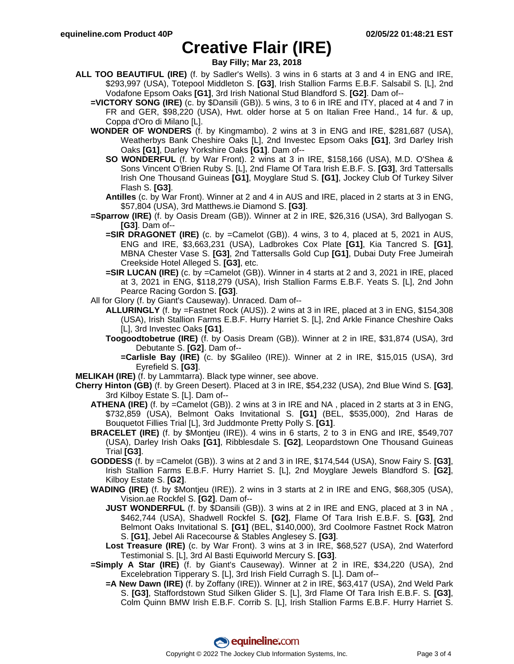**Bay Filly; Mar 23, 2018**

- **ALL TOO BEAUTIFUL (IRE)** (f. by Sadler's Wells). 3 wins in 6 starts at 3 and 4 in ENG and IRE, \$293,997 (USA), Totepool Middleton S. **[G3]**, Irish Stallion Farms E.B.F. Salsabil S. [L], 2nd Vodafone Epsom Oaks **[G1]**, 3rd Irish National Stud Blandford S. **[G2]**. Dam of--
	- **=VICTORY SONG (IRE)** (c. by \$Dansili (GB)). 5 wins, 3 to 6 in IRE and ITY, placed at 4 and 7 in FR and GER, \$98,220 (USA), Hwt. older horse at 5 on Italian Free Hand., 14 fur. & up, Coppa d'Oro di Milano [L].
	- **WONDER OF WONDERS** (f. by Kingmambo). 2 wins at 3 in ENG and IRE, \$281,687 (USA), Weatherbys Bank Cheshire Oaks [L], 2nd Investec Epsom Oaks **[G1]**, 3rd Darley Irish Oaks **[G1]**, Darley Yorkshire Oaks **[G1]**. Dam of--
		- **SO WONDERFUL** (f. by War Front). 2 wins at 3 in IRE, \$158,166 (USA), M.D. O'Shea & Sons Vincent O'Brien Ruby S. [L], 2nd Flame Of Tara Irish E.B.F. S. **[G3]**, 3rd Tattersalls Irish One Thousand Guineas **[G1]**, Moyglare Stud S. **[G1]**, Jockey Club Of Turkey Silver Flash S. **[G3]**.
		- **Antilles** (c. by War Front). Winner at 2 and 4 in AUS and IRE, placed in 2 starts at 3 in ENG, \$57,804 (USA), 3rd Matthews.ie Diamond S. **[G3]**.
	- **=Sparrow (IRE)** (f. by Oasis Dream (GB)). Winner at 2 in IRE, \$26,316 (USA), 3rd Ballyogan S. **[G3]**. Dam of--
		- **=SIR DRAGONET (IRE)** (c. by =Camelot (GB)). 4 wins, 3 to 4, placed at 5, 2021 in AUS, ENG and IRE, \$3,663,231 (USA), Ladbrokes Cox Plate **[G1]**, Kia Tancred S. **[G1]**, MBNA Chester Vase S. **[G3]**, 2nd Tattersalls Gold Cup **[G1]**, Dubai Duty Free Jumeirah Creekside Hotel Alleged S. **[G3]**, etc.
		- **=SIR LUCAN (IRE)** (c. by =Camelot (GB)). Winner in 4 starts at 2 and 3, 2021 in IRE, placed at 3, 2021 in ENG, \$118,279 (USA), Irish Stallion Farms E.B.F. Yeats S. [L], 2nd John Pearce Racing Gordon S. **[G3]**.
	- All for Glory (f. by Giant's Causeway). Unraced. Dam of--
		- **ALLURINGLY** (f. by =Fastnet Rock (AUS)). 2 wins at 3 in IRE, placed at 3 in ENG, \$154,308 (USA), Irish Stallion Farms E.B.F. Hurry Harriet S. [L], 2nd Arkle Finance Cheshire Oaks [L], 3rd Investec Oaks **[G1]**.
		- **Toogoodtobetrue (IRE)** (f. by Oasis Dream (GB)). Winner at 2 in IRE, \$31,874 (USA), 3rd Debutante S. **[G2]**. Dam of--
			- **=Carlisle Bay (IRE)** (c. by \$Galileo (IRE)). Winner at 2 in IRE, \$15,015 (USA), 3rd Eyrefield S. **[G3]**.
- **MELIKAH (IRE)** (f. by Lammtarra). Black type winner, see above.
- **Cherry Hinton (GB)** (f. by Green Desert). Placed at 3 in IRE, \$54,232 (USA), 2nd Blue Wind S. **[G3]**, 3rd Kilboy Estate S. [L]. Dam of--
	- **ATHENA (IRE)** (f. by =Camelot (GB)). 2 wins at 3 in IRE and NA , placed in 2 starts at 3 in ENG, \$732,859 (USA), Belmont Oaks Invitational S. **[G1]** (BEL, \$535,000), 2nd Haras de Bouquetot Fillies Trial [L], 3rd Juddmonte Pretty Polly S. **[G1]**.
	- **BRACELET (IRE)** (f. by \$Montjeu (IRE)). 4 wins in 6 starts, 2 to 3 in ENG and IRE, \$549,707 (USA), Darley Irish Oaks **[G1]**, Ribblesdale S. **[G2]**, Leopardstown One Thousand Guineas Trial **[G3]**.
	- **GODDESS** (f. by =Camelot (GB)). 3 wins at 2 and 3 in IRE, \$174,544 (USA), Snow Fairy S. **[G3]**, Irish Stallion Farms E.B.F. Hurry Harriet S. [L], 2nd Moyglare Jewels Blandford S. **[G2]**, Kilboy Estate S. **[G2]**.
	- **WADING (IRE)** (f. by \$Montjeu (IRE)). 2 wins in 3 starts at 2 in IRE and ENG, \$68,305 (USA), Vision.ae Rockfel S. **[G2]**. Dam of--
		- **JUST WONDERFUL** (f. by \$Dansili (GB)). 3 wins at 2 in IRE and ENG, placed at 3 in NA , \$462,744 (USA), Shadwell Rockfel S. **[G2]**, Flame Of Tara Irish E.B.F. S. **[G3]**, 2nd Belmont Oaks Invitational S. **[G1]** (BEL, \$140,000), 3rd Coolmore Fastnet Rock Matron S. **[G1]**, Jebel Ali Racecourse & Stables Anglesey S. **[G3]**.
		- **Lost Treasure (IRE)** (c. by War Front). 3 wins at 3 in IRE, \$68,527 (USA), 2nd Waterford Testimonial S. [L], 3rd Al Basti Equiworld Mercury S. **[G3]**.
	- **=Simply A Star (IRE)** (f. by Giant's Causeway). Winner at 2 in IRE, \$34,220 (USA), 2nd Excelebration Tipperary S. [L], 3rd Irish Field Curragh S. [L]. Dam of--
		- **=A New Dawn (IRE)** (f. by Zoffany (IRE)). Winner at 2 in IRE, \$63,417 (USA), 2nd Weld Park S. **[G3]**, Staffordstown Stud Silken Glider S. [L], 3rd Flame Of Tara Irish E.B.F. S. **[G3]**, Colm Quinn BMW Irish E.B.F. Corrib S. [L], Irish Stallion Farms E.B.F. Hurry Harriet S.